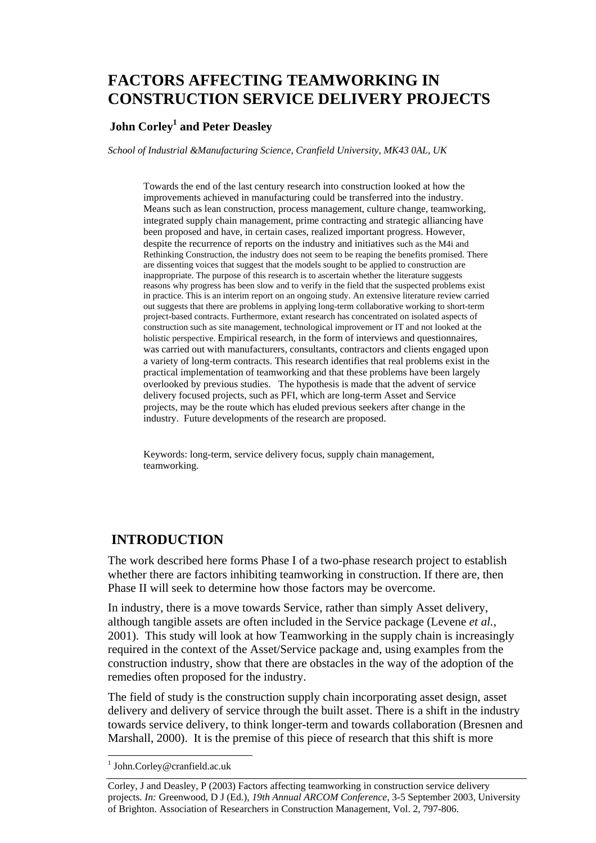# **FACTORS AFFECTING TEAMWORKING IN CONSTRUCTION SERVICE DELIVERY PROJECTS**

## **John Corley1 and Peter Deasley**

*School of Industrial &Manufacturing Science, Cranfield University, MK43 0AL, UK* 

Towards the end of the last century research into construction looked at how the improvements achieved in manufacturing could be transferred into the industry. Means such as lean construction, process management, culture change, teamworking, integrated supply chain management, prime contracting and strategic alliancing have been proposed and have, in certain cases, realized important progress. However, despite the recurrence of reports on the industry and initiatives such as the M4i and Rethinking Construction, the industry does not seem to be reaping the benefits promised. There are dissenting voices that suggest that the models sought to be applied to construction are inappropriate. The purpose of this research is to ascertain whether the literature suggests reasons why progress has been slow and to verify in the field that the suspected problems exist in practice. This is an interim report on an ongoing study. An extensive literature review carried out suggests that there are problems in applying long-term collaborative working to short-term project-based contracts. Furthermore, extant research has concentrated on isolated aspects of construction such as site management, technological improvement or IT and not looked at the holistic perspective. Empirical research, in the form of interviews and questionnaires, was carried out with manufacturers, consultants, contractors and clients engaged upon a variety of long-term contracts. This research identifies that real problems exist in the practical implementation of teamworking and that these problems have been largely overlooked by previous studies. The hypothesis is made that the advent of service delivery focused projects, such as PFI, which are long-term Asset and Service projects, may be the route which has eluded previous seekers after change in the industry. Future developments of the research are proposed.

Keywords: long-term, service delivery focus, supply chain management, teamworking.

## **INTRODUCTION**

The work described here forms Phase I of a two-phase research project to establish whether there are factors inhibiting teamworking in construction. If there are, then Phase II will seek to determine how those factors may be overcome.

In industry, there is a move towards Service, rather than simply Asset delivery, although tangible assets are often included in the Service package (Levene *et al.*, 2001). This study will look at how Teamworking in the supply chain is increasingly required in the context of the Asset/Service package and, using examples from the construction industry, show that there are obstacles in the way of the adoption of the remedies often proposed for the industry.

The field of study is the construction supply chain incorporating asset design, asset delivery and delivery of service through the built asset. There is a shift in the industry towards service delivery, to think longer-term and towards collaboration (Bresnen and Marshall, 2000).It is the premise of this piece of research that this shift is more

 1 John.Corley@cranfield.ac.uk

Corley, J and Deasley, P (2003) Factors affecting teamworking in construction service delivery projects. *In:* Greenwood, D J (Ed.), *19th Annual ARCOM Conference*, 3-5 September 2003, University of Brighton. Association of Researchers in Construction Management, Vol. 2, 797-806.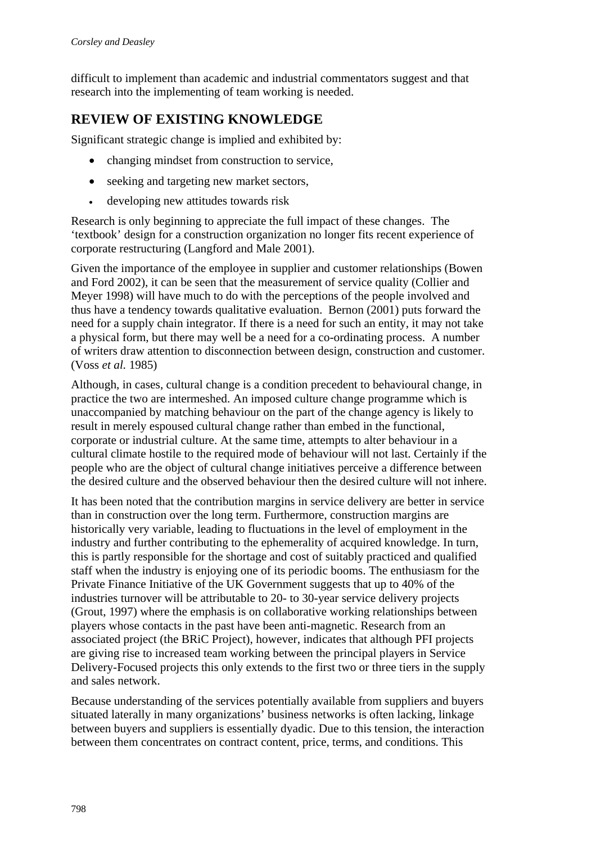difficult to implement than academic and industrial commentators suggest and that research into the implementing of team working is needed.

## **REVIEW OF EXISTING KNOWLEDGE**

Significant strategic change is implied and exhibited by:

- changing mindset from construction to service,
- seeking and targeting new market sectors,
- developing new attitudes towards risk

Research is only beginning to appreciate the full impact of these changes. The 'textbook' design for a construction organization no longer fits recent experience of corporate restructuring (Langford and Male 2001).

Given the importance of the employee in supplier and customer relationships (Bowen and Ford 2002), it can be seen that the measurement of service quality (Collier and Meyer 1998) will have much to do with the perceptions of the people involved and thus have a tendency towards qualitative evaluation. Bernon (2001) puts forward the need for a supply chain integrator. If there is a need for such an entity, it may not take a physical form, but there may well be a need for a co-ordinating process. A number of writers draw attention to disconnection between design, construction and customer. (Voss *et al.* 1985)

Although, in cases, cultural change is a condition precedent to behavioural change, in practice the two are intermeshed. An imposed culture change programme which is unaccompanied by matching behaviour on the part of the change agency is likely to result in merely espoused cultural change rather than embed in the functional, corporate or industrial culture. At the same time, attempts to alter behaviour in a cultural climate hostile to the required mode of behaviour will not last. Certainly if the people who are the object of cultural change initiatives perceive a difference between the desired culture and the observed behaviour then the desired culture will not inhere.

It has been noted that the contribution margins in service delivery are better in service than in construction over the long term. Furthermore, construction margins are historically very variable, leading to fluctuations in the level of employment in the industry and further contributing to the ephemerality of acquired knowledge. In turn, this is partly responsible for the shortage and cost of suitably practiced and qualified staff when the industry is enjoying one of its periodic booms. The enthusiasm for the Private Finance Initiative of the UK Government suggests that up to 40% of the industries turnover will be attributable to 20- to 30-year service delivery projects (Grout, 1997) where the emphasis is on collaborative working relationships between players whose contacts in the past have been anti-magnetic. Research from an associated project (the BRiC Project), however, indicates that although PFI projects are giving rise to increased team working between the principal players in Service Delivery-Focused projects this only extends to the first two or three tiers in the supply and sales network.

Because understanding of the services potentially available from suppliers and buyers situated laterally in many organizations' business networks is often lacking, linkage between buyers and suppliers is essentially dyadic. Due to this tension, the interaction between them concentrates on contract content, price, terms, and conditions. This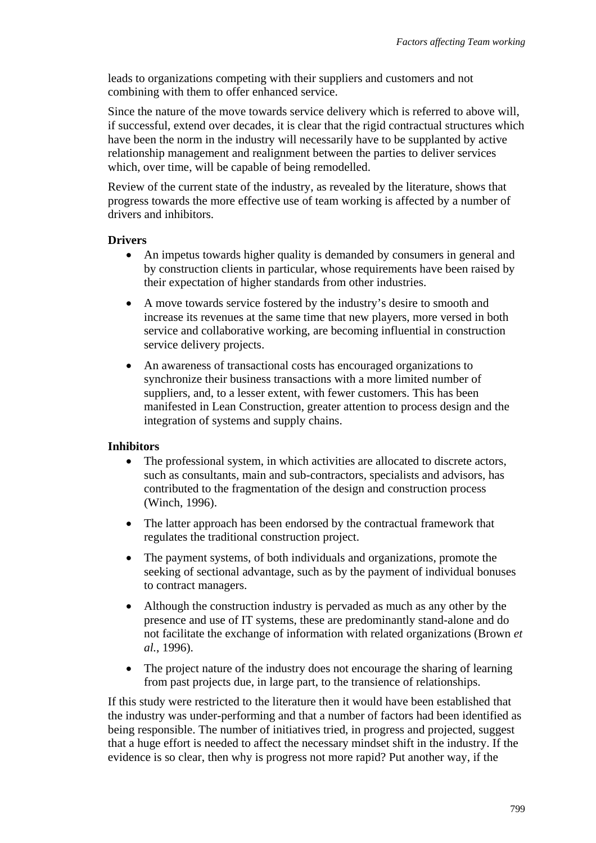leads to organizations competing with their suppliers and customers and not combining with them to offer enhanced service.

Since the nature of the move towards service delivery which is referred to above will, if successful, extend over decades, it is clear that the rigid contractual structures which have been the norm in the industry will necessarily have to be supplanted by active relationship management and realignment between the parties to deliver services which, over time, will be capable of being remodelled.

Review of the current state of the industry, as revealed by the literature, shows that progress towards the more effective use of team working is affected by a number of drivers and inhibitors.

#### **Drivers**

- An impetus towards higher quality is demanded by consumers in general and by construction clients in particular, whose requirements have been raised by their expectation of higher standards from other industries.
- A move towards service fostered by the industry's desire to smooth and increase its revenues at the same time that new players, more versed in both service and collaborative working, are becoming influential in construction service delivery projects.
- An awareness of transactional costs has encouraged organizations to synchronize their business transactions with a more limited number of suppliers, and, to a lesser extent, with fewer customers. This has been manifested in Lean Construction, greater attention to process design and the integration of systems and supply chains.

### **Inhibitors**

- The professional system, in which activities are allocated to discrete actors, such as consultants, main and sub-contractors, specialists and advisors, has contributed to the fragmentation of the design and construction process (Winch, 1996).
- The latter approach has been endorsed by the contractual framework that regulates the traditional construction project.
- The payment systems, of both individuals and organizations, promote the seeking of sectional advantage, such as by the payment of individual bonuses to contract managers.
- Although the construction industry is pervaded as much as any other by the presence and use of IT systems, these are predominantly stand-alone and do not facilitate the exchange of information with related organizations (Brown *et al.*, 1996).
- The project nature of the industry does not encourage the sharing of learning from past projects due, in large part, to the transience of relationships.

If this study were restricted to the literature then it would have been established that the industry was under-performing and that a number of factors had been identified as being responsible. The number of initiatives tried, in progress and projected, suggest that a huge effort is needed to affect the necessary mindset shift in the industry. If the evidence is so clear, then why is progress not more rapid? Put another way, if the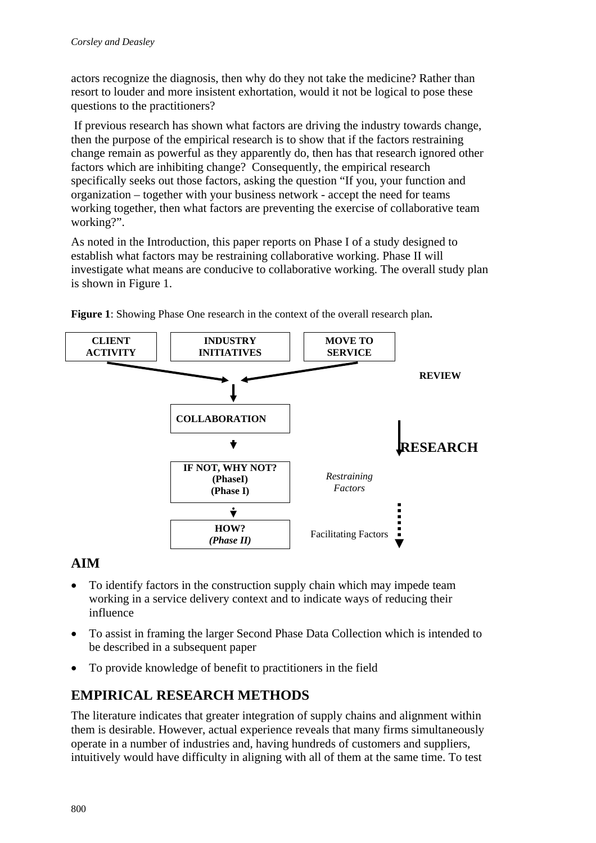actors recognize the diagnosis, then why do they not take the medicine? Rather than resort to louder and more insistent exhortation, would it not be logical to pose these questions to the practitioners?

 If previous research has shown what factors are driving the industry towards change, then the purpose of the empirical research is to show that if the factors restraining change remain as powerful as they apparently do, then has that research ignored other factors which are inhibiting change? Consequently, the empirical research specifically seeks out those factors, asking the question "If you, your function and organization – together with your business network - accept the need for teams working together, then what factors are preventing the exercise of collaborative team working?".

As noted in the Introduction, this paper reports on Phase I of a study designed to establish what factors may be restraining collaborative working. Phase II will investigate what means are conducive to collaborative working. The overall study plan is shown in Figure 1.



**Figure 1**: Showing Phase One research in the context of the overall research plan**.** 

## **AIM**

- To identify factors in the construction supply chain which may impede team working in a service delivery context and to indicate ways of reducing their influence
- To assist in framing the larger Second Phase Data Collection which is intended to be described in a subsequent paper
- To provide knowledge of benefit to practitioners in the field

## **EMPIRICAL RESEARCH METHODS**

The literature indicates that greater integration of supply chains and alignment within them is desirable. However, actual experience reveals that many firms simultaneously operate in a number of industries and, having hundreds of customers and suppliers, intuitively would have difficulty in aligning with all of them at the same time. To test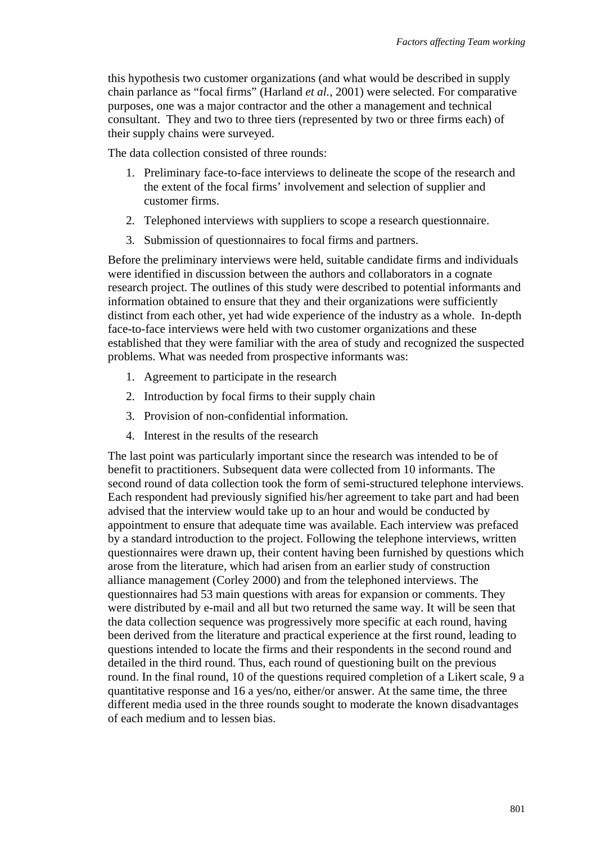this hypothesis two customer organizations (and what would be described in supply chain parlance as "focal firms" (Harland *et al.*, 2001) were selected. For comparative purposes, one was a major contractor and the other a management and technical consultant. They and two to three tiers (represented by two or three firms each) of their supply chains were surveyed.

The data collection consisted of three rounds:

- 1. Preliminary face-to-face interviews to delineate the scope of the research and the extent of the focal firms' involvement and selection of supplier and customer firms.
- 2. Telephoned interviews with suppliers to scope a research questionnaire.
- 3. Submission of questionnaires to focal firms and partners.

Before the preliminary interviews were held, suitable candidate firms and individuals were identified in discussion between the authors and collaborators in a cognate research project. The outlines of this study were described to potential informants and information obtained to ensure that they and their organizations were sufficiently distinct from each other, yet had wide experience of the industry as a whole. In-depth face-to-face interviews were held with two customer organizations and these established that they were familiar with the area of study and recognized the suspected problems. What was needed from prospective informants was:

- 1. Agreement to participate in the research
- 2. Introduction by focal firms to their supply chain
- 3. Provision of non-confidential information.
- 4. Interest in the results of the research

The last point was particularly important since the research was intended to be of benefit to practitioners. Subsequent data were collected from 10 informants. The second round of data collection took the form of semi-structured telephone interviews. Each respondent had previously signified his/her agreement to take part and had been advised that the interview would take up to an hour and would be conducted by appointment to ensure that adequate time was available. Each interview was prefaced by a standard introduction to the project. Following the telephone interviews, written questionnaires were drawn up, their content having been furnished by questions which arose from the literature, which had arisen from an earlier study of construction alliance management (Corley 2000) and from the telephoned interviews. The questionnaires had 53 main questions with areas for expansion or comments. They were distributed by e-mail and all but two returned the same way. It will be seen that the data collection sequence was progressively more specific at each round, having been derived from the literature and practical experience at the first round, leading to questions intended to locate the firms and their respondents in the second round and detailed in the third round. Thus, each round of questioning built on the previous round. In the final round, 10 of the questions required completion of a Likert scale, 9 a quantitative response and 16 a yes/no, either/or answer. At the same time, the three different media used in the three rounds sought to moderate the known disadvantages of each medium and to lessen bias.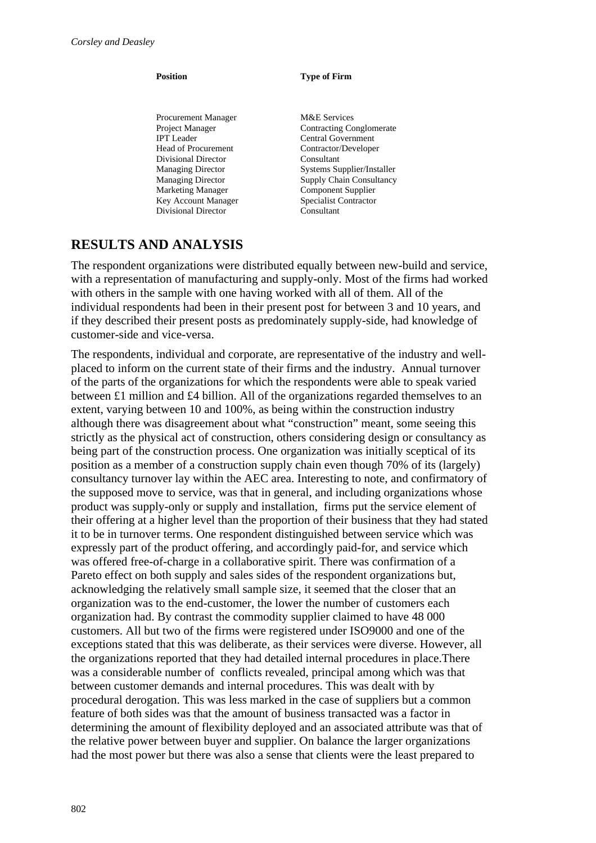Procurement Manager M&E Services<br>
Project Manager Contracting Co IPT Leader Central Government Head of Procurement Contractor/Developer Divisional Director Consultant Marketing Manager Component Supplier Key Account Manager Specialist Contractor Divisional Director Consultant

#### **Position Type of Firm**

Contracting Conglomerate Managing Director Systems Supplier/Installer Managing Director Supply Chain Consultancy

## **RESULTS AND ANALYSIS**

The respondent organizations were distributed equally between new-build and service, with a representation of manufacturing and supply-only. Most of the firms had worked with others in the sample with one having worked with all of them. All of the individual respondents had been in their present post for between 3 and 10 years, and if they described their present posts as predominately supply-side, had knowledge of customer-side and vice-versa.

The respondents, individual and corporate, are representative of the industry and wellplaced to inform on the current state of their firms and the industry. Annual turnover of the parts of the organizations for which the respondents were able to speak varied between £1 million and £4 billion. All of the organizations regarded themselves to an extent, varying between 10 and 100%, as being within the construction industry although there was disagreement about what "construction" meant, some seeing this strictly as the physical act of construction, others considering design or consultancy as being part of the construction process. One organization was initially sceptical of its position as a member of a construction supply chain even though 70% of its (largely) consultancy turnover lay within the AEC area. Interesting to note, and confirmatory of the supposed move to service, was that in general, and including organizations whose product was supply-only or supply and installation, firms put the service element of their offering at a higher level than the proportion of their business that they had stated it to be in turnover terms. One respondent distinguished between service which was expressly part of the product offering, and accordingly paid-for, and service which was offered free-of-charge in a collaborative spirit. There was confirmation of a Pareto effect on both supply and sales sides of the respondent organizations but, acknowledging the relatively small sample size, it seemed that the closer that an organization was to the end-customer, the lower the number of customers each organization had. By contrast the commodity supplier claimed to have 48 000 customers. All but two of the firms were registered under ISO9000 and one of the exceptions stated that this was deliberate, as their services were diverse. However, all the organizations reported that they had detailed internal procedures in place.There was a considerable number of conflicts revealed, principal among which was that between customer demands and internal procedures. This was dealt with by procedural derogation. This was less marked in the case of suppliers but a common feature of both sides was that the amount of business transacted was a factor in determining the amount of flexibility deployed and an associated attribute was that of the relative power between buyer and supplier. On balance the larger organizations had the most power but there was also a sense that clients were the least prepared to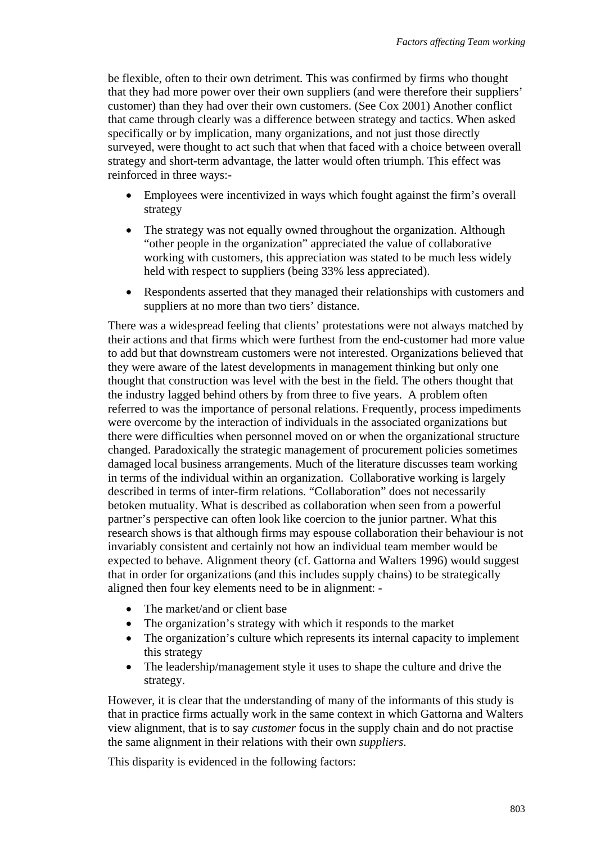be flexible, often to their own detriment. This was confirmed by firms who thought that they had more power over their own suppliers (and were therefore their suppliers' customer) than they had over their own customers. (See Cox 2001) Another conflict that came through clearly was a difference between strategy and tactics. When asked specifically or by implication, many organizations, and not just those directly surveyed, were thought to act such that when that faced with a choice between overall strategy and short-term advantage, the latter would often triumph. This effect was reinforced in three ways:-

- Employees were incentivized in ways which fought against the firm's overall strategy
- The strategy was not equally owned throughout the organization. Although "other people in the organization" appreciated the value of collaborative working with customers, this appreciation was stated to be much less widely held with respect to suppliers (being 33% less appreciated).
- Respondents asserted that they managed their relationships with customers and suppliers at no more than two tiers' distance.

There was a widespread feeling that clients' protestations were not always matched by their actions and that firms which were furthest from the end-customer had more value to add but that downstream customers were not interested. Organizations believed that they were aware of the latest developments in management thinking but only one thought that construction was level with the best in the field. The others thought that the industry lagged behind others by from three to five years. A problem often referred to was the importance of personal relations. Frequently, process impediments were overcome by the interaction of individuals in the associated organizations but there were difficulties when personnel moved on or when the organizational structure changed. Paradoxically the strategic management of procurement policies sometimes damaged local business arrangements. Much of the literature discusses team working in terms of the individual within an organization. Collaborative working is largely described in terms of inter-firm relations. "Collaboration" does not necessarily betoken mutuality. What is described as collaboration when seen from a powerful partner's perspective can often look like coercion to the junior partner. What this research shows is that although firms may espouse collaboration their behaviour is not invariably consistent and certainly not how an individual team member would be expected to behave. Alignment theory (cf. Gattorna and Walters 1996) would suggest that in order for organizations (and this includes supply chains) to be strategically aligned then four key elements need to be in alignment: -

- The market/and or client base
- The organization's strategy with which it responds to the market
- The organization's culture which represents its internal capacity to implement this strategy
- The leadership/management style it uses to shape the culture and drive the strategy.

However, it is clear that the understanding of many of the informants of this study is that in practice firms actually work in the same context in which Gattorna and Walters view alignment, that is to say *customer* focus in the supply chain and do not practise the same alignment in their relations with their own *suppliers*.

This disparity is evidenced in the following factors: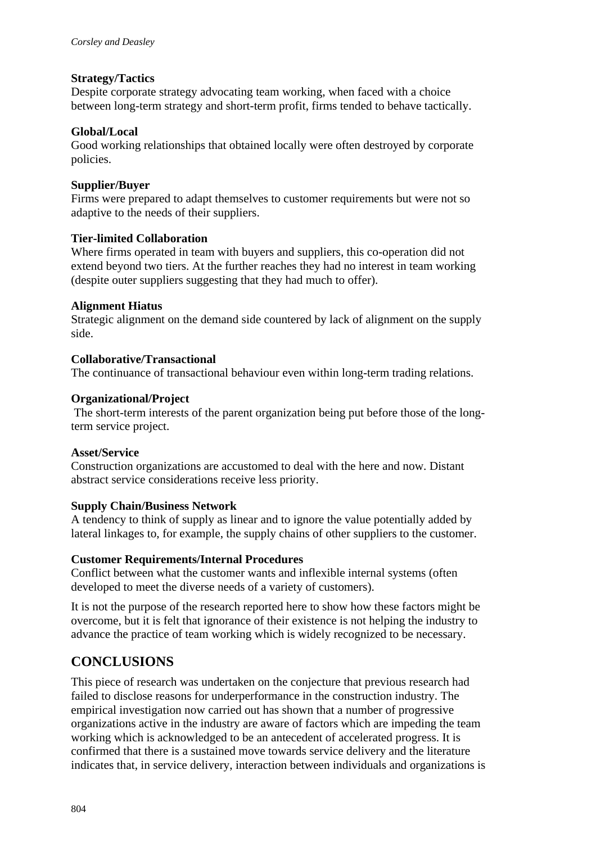### **Strategy/Tactics**

Despite corporate strategy advocating team working, when faced with a choice between long-term strategy and short-term profit, firms tended to behave tactically.

#### **Global/Local**

Good working relationships that obtained locally were often destroyed by corporate policies.

#### **Supplier/Buyer**

Firms were prepared to adapt themselves to customer requirements but were not so adaptive to the needs of their suppliers.

#### **Tier-limited Collaboration**

Where firms operated in team with buyers and suppliers, this co-operation did not extend beyond two tiers. At the further reaches they had no interest in team working (despite outer suppliers suggesting that they had much to offer).

#### **Alignment Hiatus**

Strategic alignment on the demand side countered by lack of alignment on the supply side.

#### **Collaborative/Transactional**

The continuance of transactional behaviour even within long-term trading relations.

#### **Organizational/Project**

 The short-term interests of the parent organization being put before those of the longterm service project.

#### **Asset/Service**

Construction organizations are accustomed to deal with the here and now. Distant abstract service considerations receive less priority.

#### **Supply Chain/Business Network**

A tendency to think of supply as linear and to ignore the value potentially added by lateral linkages to, for example, the supply chains of other suppliers to the customer.

### **Customer Requirements/Internal Procedures**

Conflict between what the customer wants and inflexible internal systems (often developed to meet the diverse needs of a variety of customers).

It is not the purpose of the research reported here to show how these factors might be overcome, but it is felt that ignorance of their existence is not helping the industry to advance the practice of team working which is widely recognized to be necessary.

## **CONCLUSIONS**

This piece of research was undertaken on the conjecture that previous research had failed to disclose reasons for underperformance in the construction industry. The empirical investigation now carried out has shown that a number of progressive organizations active in the industry are aware of factors which are impeding the team working which is acknowledged to be an antecedent of accelerated progress. It is confirmed that there is a sustained move towards service delivery and the literature indicates that, in service delivery, interaction between individuals and organizations is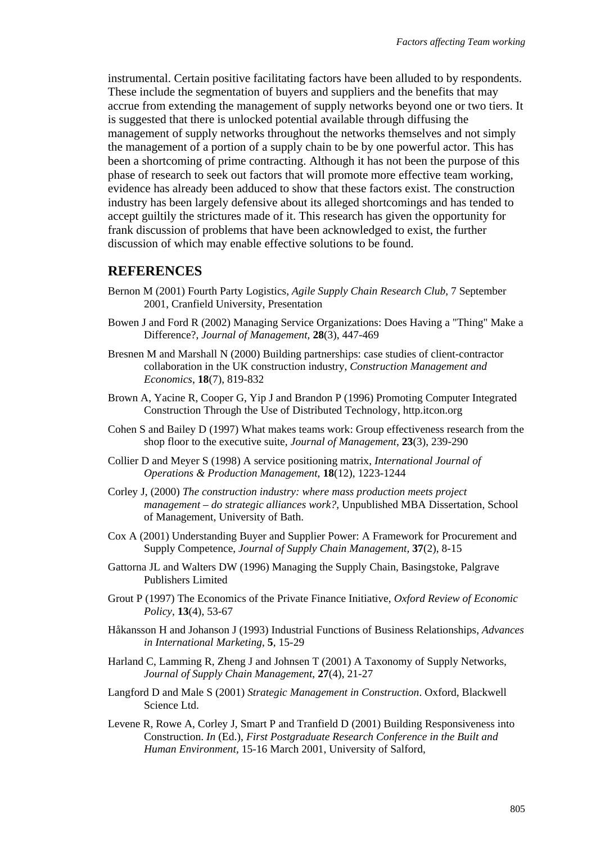instrumental. Certain positive facilitating factors have been alluded to by respondents. These include the segmentation of buyers and suppliers and the benefits that may accrue from extending the management of supply networks beyond one or two tiers. It is suggested that there is unlocked potential available through diffusing the management of supply networks throughout the networks themselves and not simply the management of a portion of a supply chain to be by one powerful actor. This has been a shortcoming of prime contracting. Although it has not been the purpose of this phase of research to seek out factors that will promote more effective team working, evidence has already been adduced to show that these factors exist. The construction industry has been largely defensive about its alleged shortcomings and has tended to accept guiltily the strictures made of it. This research has given the opportunity for frank discussion of problems that have been acknowledged to exist, the further discussion of which may enable effective solutions to be found.

#### **REFERENCES**

- Bernon M (2001) Fourth Party Logistics, *Agile Supply Chain Research Club*, 7 September 2001, Cranfield University, Presentation
- Bowen J and Ford R (2002) Managing Service Organizations: Does Having a "Thing" Make a Difference?, *Journal of Management,* **28**(3), 447-469
- Bresnen M and Marshall N (2000) Building partnerships: case studies of client-contractor collaboration in the UK construction industry, *Construction Management and Economics*, **18**(7), 819-832
- Brown A, Yacine R, Cooper G, Yip J and Brandon P (1996) Promoting Computer Integrated Construction Through the Use of Distributed Technology, http.itcon.org
- Cohen S and Bailey D (1997) What makes teams work: Group effectiveness research from the shop floor to the executive suite, *Journal of Management*, **23**(3), 239-290
- Collier D and Meyer S (1998) A service positioning matrix, *International Journal of Operations & Production Management*, **18**(12), 1223-1244
- Corley J, (2000) *The construction industry: where mass production meets project management – do strategic alliances work?,* Unpublished MBA Dissertation, School of Management, University of Bath.
- Cox A (2001) Understanding Buyer and Supplier Power: A Framework for Procurement and Supply Competence, *Journal of Supply Chain Management,* **37**(2), 8-15
- Gattorna JL and Walters DW (1996) Managing the Supply Chain, Basingstoke, Palgrave Publishers Limited
- Grout P (1997) The Economics of the Private Finance Initiative, *Oxford Review of Economic Policy*, **13**(4), 53-67
- Håkansson H and Johanson J (1993) Industrial Functions of Business Relationships, *Advances in International Marketing*, **5**, 15-29
- Harland C, Lamming R, Zheng J and Johnsen T (2001) A Taxonomy of Supply Networks, *Journal of Supply Chain Management*, **27**(4), 21-27
- Langford D and Male S (2001) *Strategic Management in Construction*. Oxford, Blackwell Science Ltd.
- Levene R, Rowe A, Corley J, Smart P and Tranfield D (2001) Building Responsiveness into Construction. *In* (Ed.), *First Postgraduate Research Conference in the Built and Human Environment,* 15-16 March 2001, University of Salford,